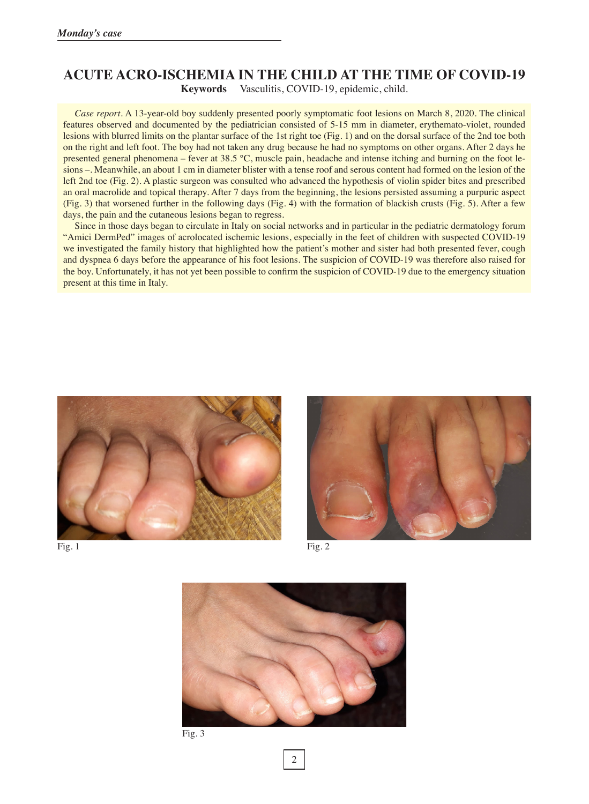## **ACUTE ACRO-ISCHEMIA IN THE CHILD AT THE TIME OF COVID-19 Keywords** Vasculitis, COVID-19, epidemic, child.

*Case report.* A 13-year-old boy suddenly presented poorly symptomatic foot lesions on March 8, 2020. The clinical features observed and documented by the pediatrician consisted of 5-15 mm in diameter, erythemato-violet, rounded lesions with blurred limits on the plantar surface of the 1st right toe (Fig. 1) and on the dorsal surface of the 2nd toe both on the right and left foot. The boy had not taken any drug because he had no symptoms on other organs. After 2 days he presented general phenomena – fever at 38.5 °C, muscle pain, headache and intense itching and burning on the foot lesions –. Meanwhile, an about 1 cm in diameter blister with a tense roof and serous content had formed on the lesion of the left 2nd toe (Fig. 2). A plastic surgeon was consulted who advanced the hypothesis of violin spider bites and prescribed an oral macrolide and topical therapy. After 7 days from the beginning, the lesions persisted assuming a purpuric aspect (Fig. 3) that worsened further in the following days (Fig. 4) with the formation of blackish crusts (Fig. 5). After a few days, the pain and the cutaneous lesions began to regress.

Since in those days began to circulate in Italy on social networks and in particular in the pediatric dermatology forum "Amici DermPed" images of acrolocated ischemic lesions, especially in the feet of children with suspected COVID-19 we investigated the family history that highlighted how the patient's mother and sister had both presented fever, cough and dyspnea 6 days before the appearance of his foot lesions. The suspicion of COVID-19 was therefore also raised for the boy. Unfortunately, it has not yet been possible to confirm the suspicion of COVID-19 due to the emergency situation present at this time in Italy.







Fig. 1 Fig. 2



Fig. 3

2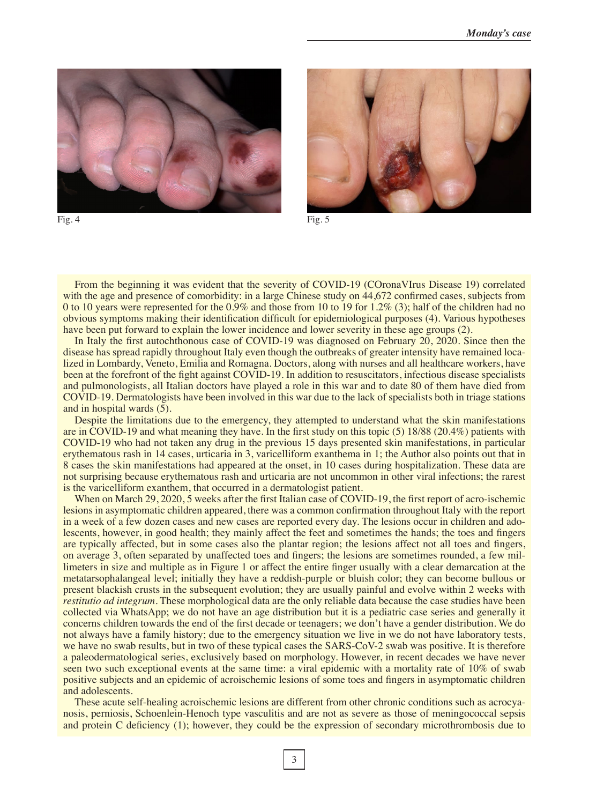



Fig. 4 Fig.  $\frac{1}{2}$  Fig. 5

From the beginning it was evident that the severity of COVID-19 (COronaVIrus Disease 19) correlated with the age and presence of comorbidity: in a large Chinese study on 44,672 confirmed cases, subjects from 0 to 10 years were represented for the 0.9% and those from 10 to 19 for 1.2% (3); half of the children had no obvious symptoms making their identification difficult for epidemiological purposes (4). Various hypotheses have been put forward to explain the lower incidence and lower severity in these age groups (2).

In Italy the first autochthonous case of COVID-19 was diagnosed on February 20, 2020. Since then the disease has spread rapidly throughout Italy even though the outbreaks of greater intensity have remained localized in Lombardy, Veneto, Emilia and Romagna. Doctors, along with nurses and all healthcare workers, have been at the forefront of the fight against COVID-19. In addition to resuscitators, infectious disease specialists and pulmonologists, all Italian doctors have played a role in this war and to date 80 of them have died from COVID-19. Dermatologists have been involved in this war due to the lack of specialists both in triage stations and in hospital wards (5).

Despite the limitations due to the emergency, they attempted to understand what the skin manifestations are in COVID-19 and what meaning they have. In the first study on this topic (5) 18/88 (20.4%) patients with COVID-19 who had not taken any drug in the previous 15 days presented skin manifestations, in particular erythematous rash in 14 cases, urticaria in 3, varicelliform exanthema in 1; the Author also points out that in 8 cases the skin manifestations had appeared at the onset, in 10 cases during hospitalization. These data are not surprising because erythematous rash and urticaria are not uncommon in other viral infections; the rarest is the varicelliform exanthem, that occurred in a dermatologist patient.

When on March 29, 2020, 5 weeks after the first Italian case of COVID-19, the first report of acro-ischemic lesions in asymptomatic children appeared, there was a common confirmation throughout Italy with the report in a week of a few dozen cases and new cases are reported every day. The lesions occur in children and adolescents, however, in good health; they mainly affect the feet and sometimes the hands; the toes and fingers are typically affected, but in some cases also the plantar region; the lesions affect not all toes and fingers, on average 3, often separated by unaffected toes and fingers; the lesions are sometimes rounded, a few millimeters in size and multiple as in Figure 1 or affect the entire finger usually with a clear demarcation at the metatarsophalangeal level; initially they have a reddish-purple or bluish color; they can become bullous or present blackish crusts in the subsequent evolution; they are usually painful and evolve within 2 weeks with *restitutio ad integrum*. These morphological data are the only reliable data because the case studies have been collected via WhatsApp; we do not have an age distribution but it is a pediatric case series and generally it concerns children towards the end of the first decade or teenagers; we don't have a gender distribution. We do not always have a family history; due to the emergency situation we live in we do not have laboratory tests, we have no swab results, but in two of these typical cases the SARS-CoV-2 swab was positive. It is therefore a paleodermatological series, exclusively based on morphology. However, in recent decades we have never seen two such exceptional events at the same time: a viral epidemic with a mortality rate of 10% of swab positive subjects and an epidemic of acroischemic lesions of some toes and fingers in asymptomatic children and adolescents.

These acute self-healing acroischemic lesions are different from other chronic conditions such as acrocyanosis, perniosis, Schoenlein-Henoch type vasculitis and are not as severe as those of meningococcal sepsis and protein C deficiency (1); however, they could be the expression of secondary microthrombosis due to

3